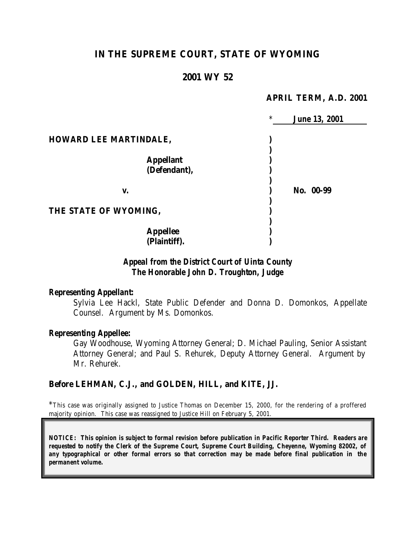# **IN THE SUPREME COURT, STATE OF WYOMING**

### **2001 WY 52**

#### **APRIL TERM, A.D. 2001**

|                               | $\ast$ | <b>June 13, 2001</b> |
|-------------------------------|--------|----------------------|
| <b>HOWARD LEE MARTINDALE,</b> |        |                      |
|                               |        |                      |
| <b>Appellant</b>              |        |                      |
| (Defendant),                  |        |                      |
|                               |        |                      |
| V.                            |        | No. 00-99            |
|                               |        |                      |
| THE STATE OF WYOMING,         |        |                      |
|                               |        |                      |
| <b>Appellee</b>               |        |                      |
| (Plaintiff).                  |        |                      |

## *Appeal from the District Court of Uinta County The Honorable John D. Troughton, Judge*

#### *Representing Appellant:*

Sylvia Lee Hackl, State Public Defender and Donna D. Domonkos, Appellate Counsel. Argument by Ms. Domonkos.

### *Representing Appellee:*

Gay Woodhouse, Wyoming Attorney General; D. Michael Pauling, Senior Assistant Attorney General; and Paul S. Rehurek, Deputy Attorney General. Argument by Mr. Rehurek.

#### **Before LEHMAN, C.J., and GOLDEN, HILL, and KITE, JJ.**

\*This case was originally assigned to Justice Thomas on December 15, 2000, for the rendering of a proffered majority opinion. This case was reassigned to Justice Hill on February 5, 2001.

*NOTICE: This opinion is subject to formal revision before publication in Pacific Reporter Third. Readers are requested to notify the Clerk of the Supreme Court, Supreme Court Building, Cheyenne, Wyoming 82002, of any typographical or other formal errors so that correction may be made before final publication in the permanent volume.*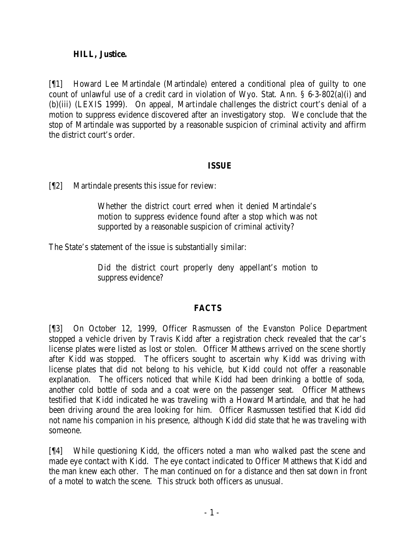### **HILL, Justice.**

[¶1] Howard Lee Martindale (Martindale) entered a conditional plea of guilty to one count of unlawful use of a credit card in violation of Wyo. Stat. Ann. § 6-3-802(a)(i) and (b)(iii) (LEXIS 1999). On appeal, Martindale challenges the district court's denial of a motion to suppress evidence discovered after an investigatory stop. We conclude that the stop of Martindale was supported by a reasonable suspicion of criminal activity and affirm the district court's order.

### **ISSUE**

[¶2] Martindale presents this issue for review:

Whether the district court erred when it denied Martindale's motion to suppress evidence found after a stop which was not supported by a reasonable suspicion of criminal activity?

The State's statement of the issue is substantially similar:

Did the district court properly deny appellant's motion to suppress evidence?

# **FACTS**

[¶3] On October 12, 1999, Officer Rasmussen of the Evanston Police Department stopped a vehicle driven by Travis Kidd after a registration check revealed that the car's license plates were listed as lost or stolen. Officer Matthews arrived on the scene shortly after Kidd was stopped. The officers sought to ascertain why Kidd was driving with license plates that did not belong to his vehicle, but Kidd could not offer a reasonable explanation. The officers noticed that while Kidd had been drinking a bottle of soda, another cold bottle of soda and a coat were on the passenger seat. Officer Matthews testified that Kidd indicated he was traveling with a Howard Martindale, and that he had been driving around the area looking for him. Officer Rasmussen testified that Kidd did not name his companion in his presence, although Kidd did state that he was traveling with someone.

[¶4] While questioning Kidd, the officers noted a man who walked past the scene and made eye contact with Kidd. The eye contact indicated to Officer Matthews that Kidd and the man knew each other. The man continued on for a distance and then sat down in front of a motel to watch the scene. This struck both officers as unusual.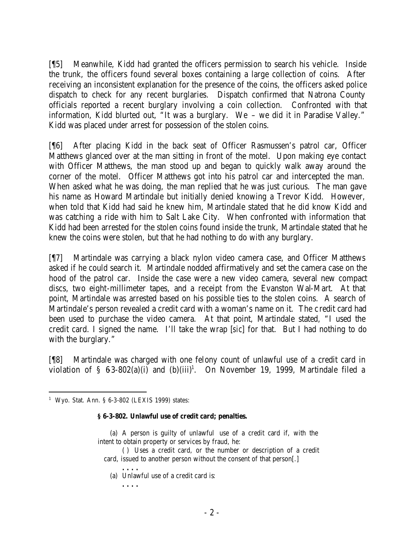[¶5] Meanwhile, Kidd had granted the officers permission to search his vehicle. Inside the trunk, the officers found several boxes containing a large collection of coins. After receiving an inconsistent explanation for the presence of the coins, the officers asked police dispatch to check for any recent burglaries. Dispatch confirmed that Natrona County officials reported a recent burglary involving a coin collection. Confronted with that information, Kidd blurted out, "It was a burglary. We – we did it in Paradise Valley." Kidd was placed under arrest for possession of the stolen coins.

[¶6] After placing Kidd in the back seat of Officer Rasmussen's patrol car, Officer Matthews glanced over at the man sitting in front of the motel. Upon making eye contact with Officer Matthews, the man stood up and began to quickly walk away around the corner of the motel. Officer Matthews got into his patrol car and intercepted the man. When asked what he was doing, the man replied that he was just curious. The man gave his name as Howard Martindale but initially denied knowing a Trevor Kidd. However, when told that Kidd had said he knew him, Martindale stated that he did know Kidd and was catching a ride with him to Salt Lake City. When confronted with information that Kidd had been arrested for the stolen coins found inside the trunk, Martindale stated that he knew the coins were stolen, but that he had nothing to do with any burglary.

[¶7] Martindale was carrying a black nylon video camera case, and Officer Matthews asked if he could search it. Martindale nodded affirmatively and set the camera case on the hood of the patrol car. Inside the case were a new video camera, several new compact discs, two eight-millimeter tapes, and a receipt from the Evanston Wal-Mart. At that point, Martindale was arrested based on his possible ties to the stolen coins. A search of Martindale's person revealed a credit card with a woman's name on it. The c redit card had been used to purchase the video camera. At that point, Martindale stated, "I used the credit card. I signed the name. I'll take the wrap [*sic*] for that. But I had nothing to do with the burglary."

[¶8] Martindale was charged with one felony count of unlawful use of a credit card in violation of  $\S$  63-802(a)(i) and (b)(iii)<sup>1</sup>. On November 19, 1999, Martindale filed a

#### **§ 6-3-802. Unlawful use of credit card; penalties.**

- (a) A person is guilty of unlawful use of a credit card if, with the intent to obtain property or services by fraud, he:
	- ( ) Uses a credit card, or the number or description of a credit card, issued to another person without the consent of that person[.]
		- (a) Unlawful use of a credit card is:

**. . . .**

**. . . .**

<sup>&</sup>lt;sup>1</sup> Wyo. Stat. Ann. § 6-3-802 (LEXIS 1999) states: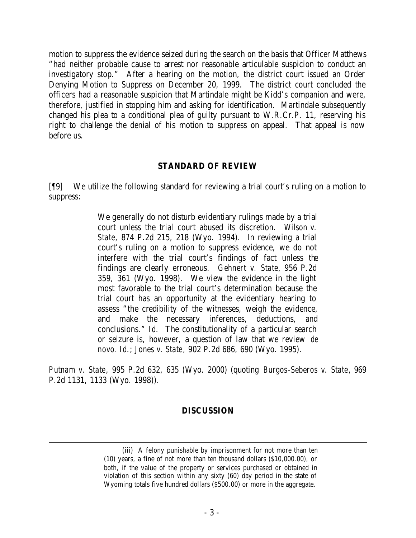motion to suppress the evidence seized during the search on the basis that Officer Matthews "had neither probable cause to arrest nor reasonable articulable suspicion to conduct an investigatory stop." After a hearing on the motion, the district court issued an Order Denying Motion to Suppress on December 20, 1999. The district court concluded the officers had a reasonable suspicion that Martindale might be Kidd's companion and were, therefore, justified in stopping him and asking for identification. Martindale subsequently changed his plea to a conditional plea of guilty pursuant to W.R.Cr.P. 11, reserving his right to challenge the denial of his motion to suppress on appeal. That appeal is now before us.

#### **STANDARD OF REVIEW**

[¶9] We utilize the following standard for reviewing a trial court's ruling on a motion to suppress:

> We generally do not disturb evidentiary rulings made by a trial court unless the trial court abused its discretion. *Wilson v. State*, 874 P.2d 215, 218 (Wyo. 1994). In reviewing a trial court's ruling on a motion to suppress evidence, we do not interfere with the trial court's findings of fact unless the findings are clearly erroneous. *Gehnert v. State*, 956 P.2d 359, 361 (Wyo. 1998). We view the evidence in the light most favorable to the trial court's determination because the trial court has an opportunity at the evidentiary hearing to assess "the credibility of the witnesses, weigh the evidence, and make the necessary inferences, deductions, and conclusions." *Id*. The constitutionality of a particular search or seizure is, however, a question of law that we review *de novo*. *Id*.; *Jones v. State*, 902 P.2d 686, 690 (Wyo. 1995).

*Putnam v. State*, 995 P.2d 632, 635 (Wyo. 2000) (quoting *Burgos-Seberos v. State*, 969 P.2d 1131, 1133 (Wyo. 1998)).

### **DISCUSSION**

<sup>(</sup>iii) A felony punishable by imprisonment for not more than ten (10) years, a fine of not more than ten thousand dollars (\$10,000.00), or both, if the value of the property or services purchased or obtained in violation of this section within any sixty (60) day period in the state of Wyoming totals five hundred dollars (\$500.00) or more in the aggregate.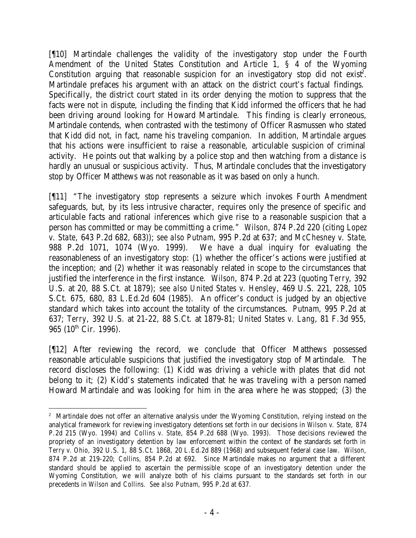[¶10] Martindale challenges the validity of the investigatory stop under the Fourth Amendment of the United States Constitution and Article 1, § 4 of the Wyoming Constitution arguing that reasonable suspicion for an investigatory stop did not exist<sup>2</sup>. Martindale prefaces his argument with an attack on the district court's factual findings. Specifically, the district court stated in its order denying the motion to suppress that the facts were not in dispute, including the finding that Kidd informed the officers that he had been driving around looking for Howard Martindale. This finding is clearly erroneous, Martindale contends, when contrasted with the testimony of Officer Rasmussen who stated that Kidd did not, in fact, name his traveling companion. In addition, Martindale argues that his actions were insufficient to raise a reasonable, articulable suspicion of criminal activity. He points out that walking by a police stop and then watching from a distance is hardly an unusual or suspicious activity. Thus, Martindale concludes that the investigatory stop by Officer Matthews was not reasonable as it was based on only a hunch.

[¶11] "The investigatory stop represents a seizure which invokes Fourth Amendment safeguards, but, by its less intrusive character, requires only the presence of specific and articulable facts and rational inferences which give rise to a reasonable suspicion that a person has committed or may be committing a crime." *Wilson*, 874 P.2d 220 (citing *Lopez v. State,* 643 P.2d 682, 683)); *see also Putnam*, 995 P.2d at 637; and *McChesney v. State*, 988 P.2d 1071, 1074 (Wyo. 1999). We have a dual inquiry for evaluating the reasonableness of an investigatory stop: (1) whether the officer's actions were justified at the inception; and (2) whether it was reasonably related in scope to the circumstances that justified the interference in the first instance. *Wilson*, 874 P.2d at 223 (quoting *Terry*, 392 U.S. at 20, 88 S.Ct. at 1879); *see also United States v. Hensley*, 469 U.S. 221, 228, 105 S.Ct. 675, 680, 83 L.Ed.2d 604 (1985). An officer's conduct is judged by an objective standard which takes into account the totality of the circumstances. *Putnam*, 995 P.2d at 637; *Terry*, 392 U.S. at 21-22, 88 S.Ct. at 1879-81; *United States v. Lang*, 81 F.3d 955, 965 (10<sup>th</sup> Cir. 1996).

[¶12] After reviewing the record, we conclude that Officer Matthews possessed reasonable articulable suspicions that justified the investigatory stop of Martindale. The record discloses the following: (1) Kidd was driving a vehicle with plates that did not belong to it; (2) Kidd's statements indicated that he was traveling with a person named Howard Martindale and was looking for him in the area where he was stopped; (3) the

<sup>&</sup>lt;sup>2</sup> Martindale does not offer an alternative analysis under the Wyoming Constitution, relying instead on the analytical framework for reviewing investigatory detentions set forth in our decisions in *Wilson v. State*, 874 P.2d 215 (Wyo. 1994) and *Collins v. State*, 854 P.2d 688 (Wyo. 1993). Those decisions reviewed the propriety of an investigatory detention by law enforcement within the context of the standards set forth in *Terry v. Ohio*, 392 U.S. 1, 88 S.Ct. 1868, 20 L.Ed.2d 889 (1968) and subsequent federal case law. *Wilson*, 874 P.2d at 219-220; *Collins*, 854 P.2d at 692. Since Martindale makes no argument that a different standard should be applied to ascertain the permissible scope of an investigatory detention under the Wyoming Constitution, we will analyze both of his claims pursuant to the standards set forth in our precedents in *Wilson* and *Collins*. *See also Putnam*, 995 P.2d at 637.